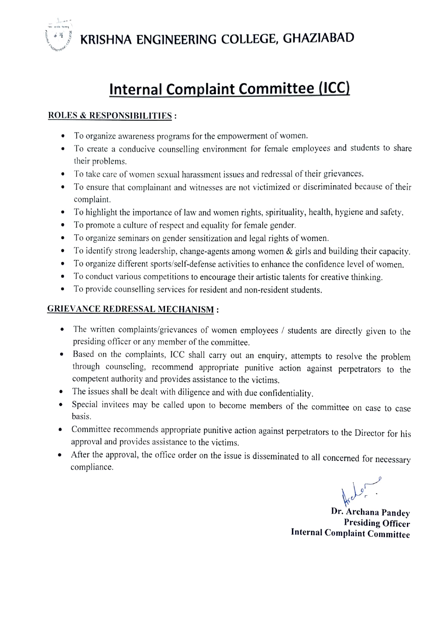

## Internal Complaint Committee (ICC)

## ROLES & RESPONSIBILITIES :

- To organize awareness programs for the empowerment of women.
- To create a conducive counselling environment for female employees and students to share their problems.
- To take care of women sexual harassment issues and redressal of their grievances.
- To ensure that complainant and witnesses are not victimized or discriminated because of their complaint.
- To highlight the importance of law and women rights, spirituality, health, hygiene and safety.
- To promote a culture of respect and equality for female gender.
- To organize seminars on gender sensitization and legal rights of women.
- To identify strong leadership, change-agents among women & girls and building their capacity.  $\bullet$
- To organize different sports/self-defense activities to enhance the confidence level of women.
- To conduct various competitions to encourage their artistic talents for creative thinking.
- To provide counselling services for resident and non-resident students.  $\bullet$

## GRIEVANCE REDRESSAL MECHANISM:

- The written complaints/grievances of women employees / students are directly given to the presiding officer or any member of the committee.
- Based on the complaints, ICC shall carry out an enquiry, attempts to resolve the problem through counseling, recommend appropriate punitive action against perpetrators to the competent authority and provides assistance to the victims.
- 
- The issues shall be dealt with diligence and with due confidentiality.<br>Special invitees may be called upon to become members of the committee on case to case basis.
- Committee recommends appropriate punitive action against perpetrators to the Director for his approval and provides assistance to the victims.
- After the approval, the office order on the issue is disseminated to all concerned for necessary compliance.

Dr. Archana Pandey Presiding Officer Internal Complaint Committee